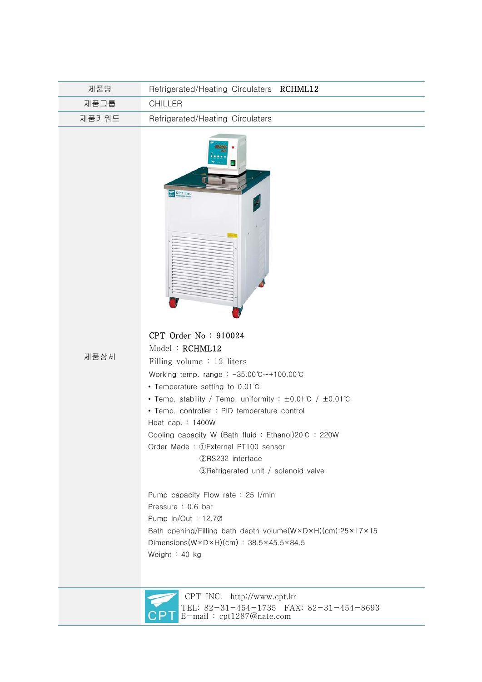| 제품명   | Refrigerated/Heating Circulaters RCHML12 |
|-------|------------------------------------------|
| 제품그룹  | CHILLER                                  |
| 제품키워드 | Refrigerated/Heating Circulaters         |



 CPT Order No : 910024 Model : RCHML12

제품상세

 Filling volume : 12 liters Working temp. range : -35.00℃~+100.00℃ • Temperature setting to 0.01℃ • Temp. stability / Temp. uniformity : ±0.01℃ / ±0.01℃ • Temp. controller : PID temperature control Heat cap. : 1400W Cooling capacity W (Bath fluid : Ethanol)20℃ : 220W Order Made : ①External PT100 sensor ②RS232 interface ③Refrigerated unit / solenoid valve Pump capacity Flow rate : 25 I/min Pressure : 0.6 bar Pump ln/Out : 12.7Ø Bath opening/Filling bath depth volume(W×D×H)(cm):25×17×15 Dimensions(W×D×H)(cm) : 38.5×45.5×84.5

Weight : 40 kg



 CPT INC. http://www.cpt.kr TEL: 82-31-454-1735 FAX: 82-31-454-8693 E-mail : cpt1287@nate.com